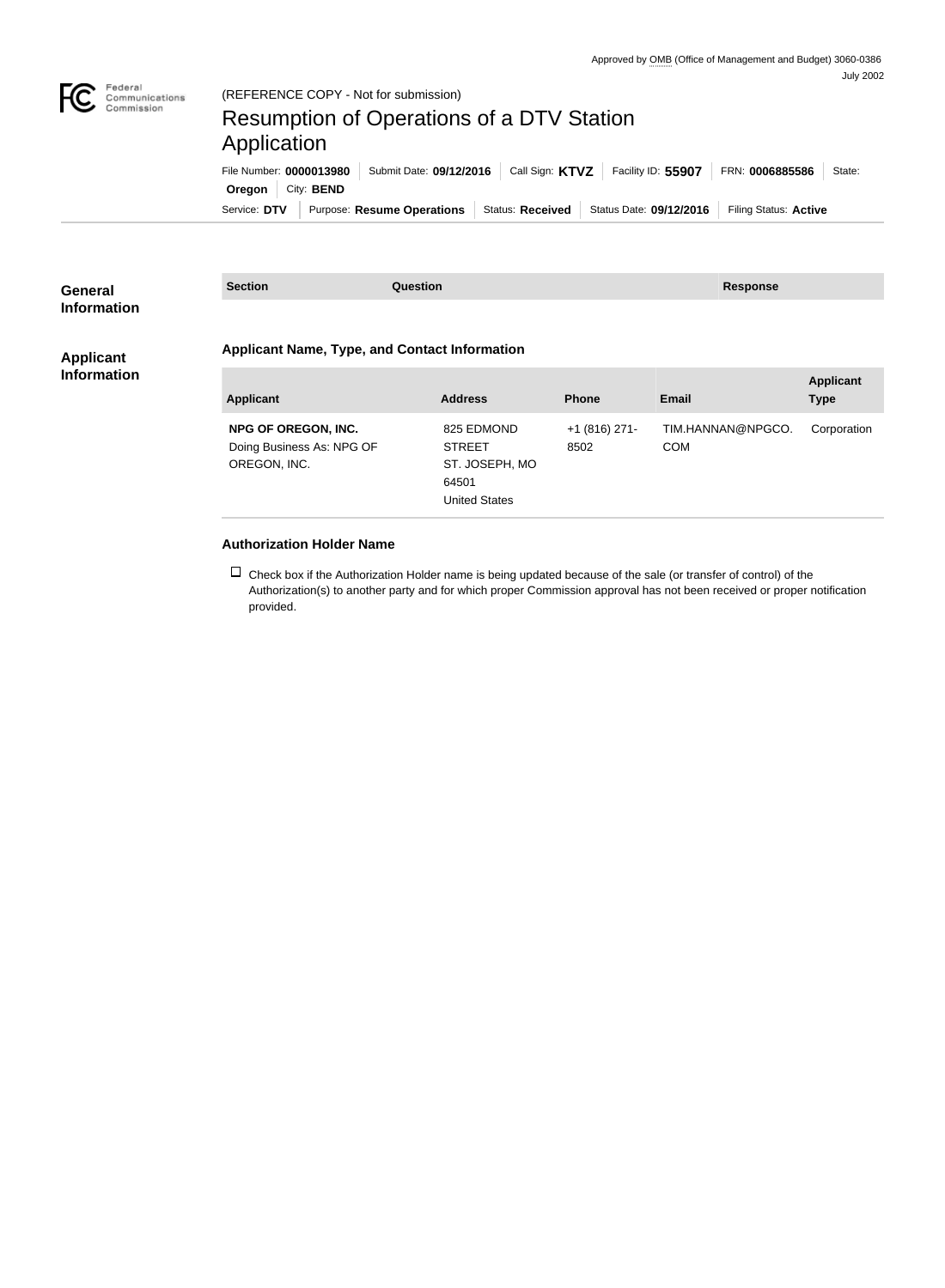

| <b>General</b><br><b>Information</b>   | <b>Section</b>                                                          | <b>Question</b>                                                                |                         | <b>Response</b>                 |                                 |  |  |
|----------------------------------------|-------------------------------------------------------------------------|--------------------------------------------------------------------------------|-------------------------|---------------------------------|---------------------------------|--|--|
| <b>Applicant</b><br><b>Information</b> |                                                                         | <b>Applicant Name, Type, and Contact Information</b>                           |                         |                                 |                                 |  |  |
|                                        | <b>Applicant</b>                                                        | <b>Address</b>                                                                 | <b>Phone</b>            | <b>Email</b>                    | <b>Applicant</b><br><b>Type</b> |  |  |
|                                        | <b>NPG OF OREGON, INC.</b><br>Doing Business As: NPG OF<br>OREGON, INC. | 825 EDMOND<br><b>STREET</b><br>ST. JOSEPH, MO<br>64501<br><b>United States</b> | $+1$ (816) 271-<br>8502 | TIM.HANNAN@NPGCO.<br><b>COM</b> | Corporation                     |  |  |
|                                        | <b>Authorization Holder Name</b>                                        |                                                                                |                         |                                 |                                 |  |  |

 $\Box$  Check box if the Authorization Holder name is being updated because of the sale (or transfer of control) of the Authorization(s) to another party and for which proper Commission approval has not been received or proper notification provided.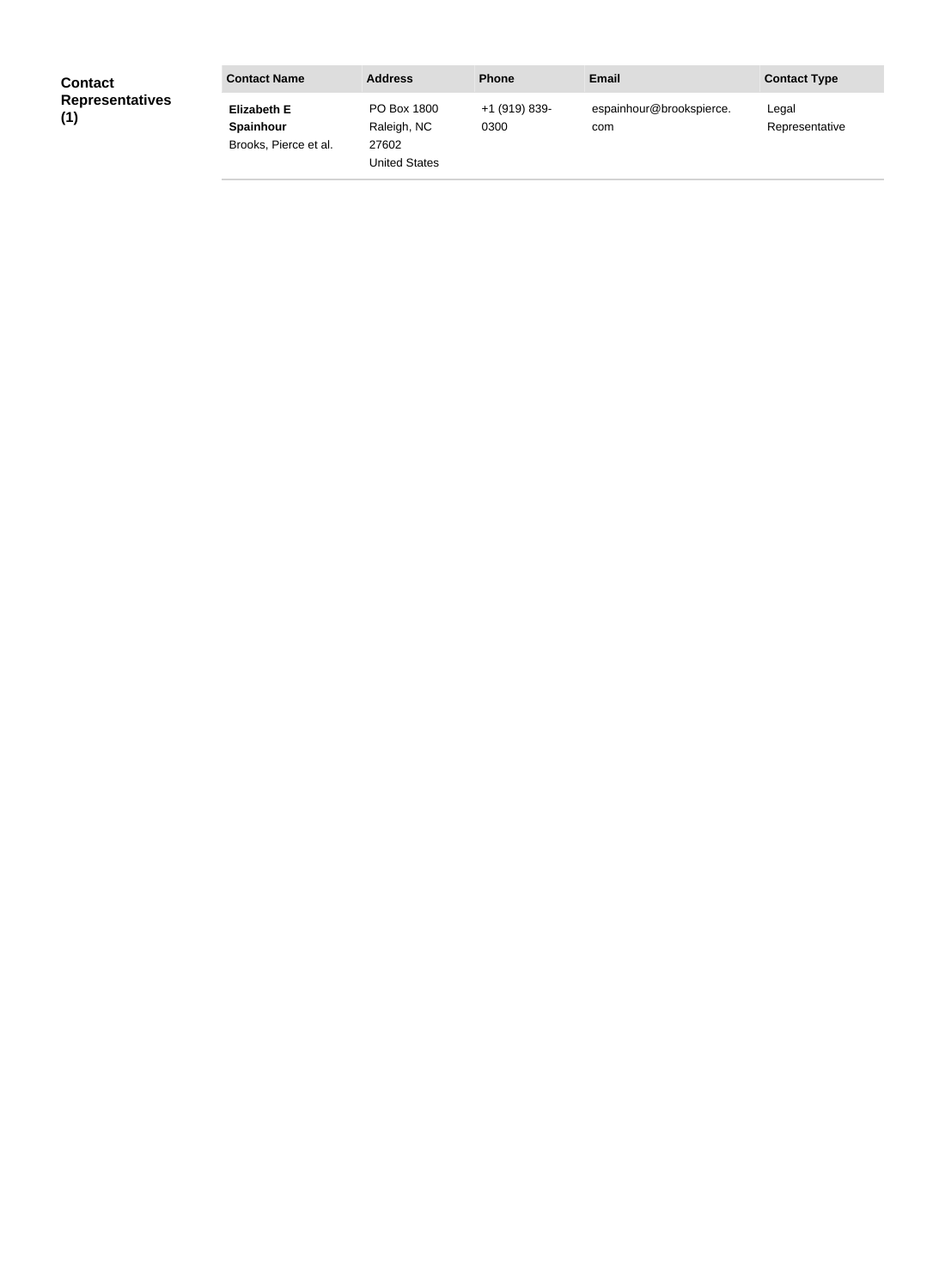| <b>Contact</b>                | <b>Contact Name</b>                                             | <b>Address</b>                                              | <b>Phone</b>          | Email                           | <b>Contact Type</b>     |
|-------------------------------|-----------------------------------------------------------------|-------------------------------------------------------------|-----------------------|---------------------------------|-------------------------|
| <b>Representatives</b><br>(1) | <b>Elizabeth E</b><br><b>Spainhour</b><br>Brooks, Pierce et al. | PO Box 1800<br>Raleigh, NC<br>27602<br><b>United States</b> | +1 (919) 839-<br>0300 | espainhour@brookspierce.<br>com | Legal<br>Representative |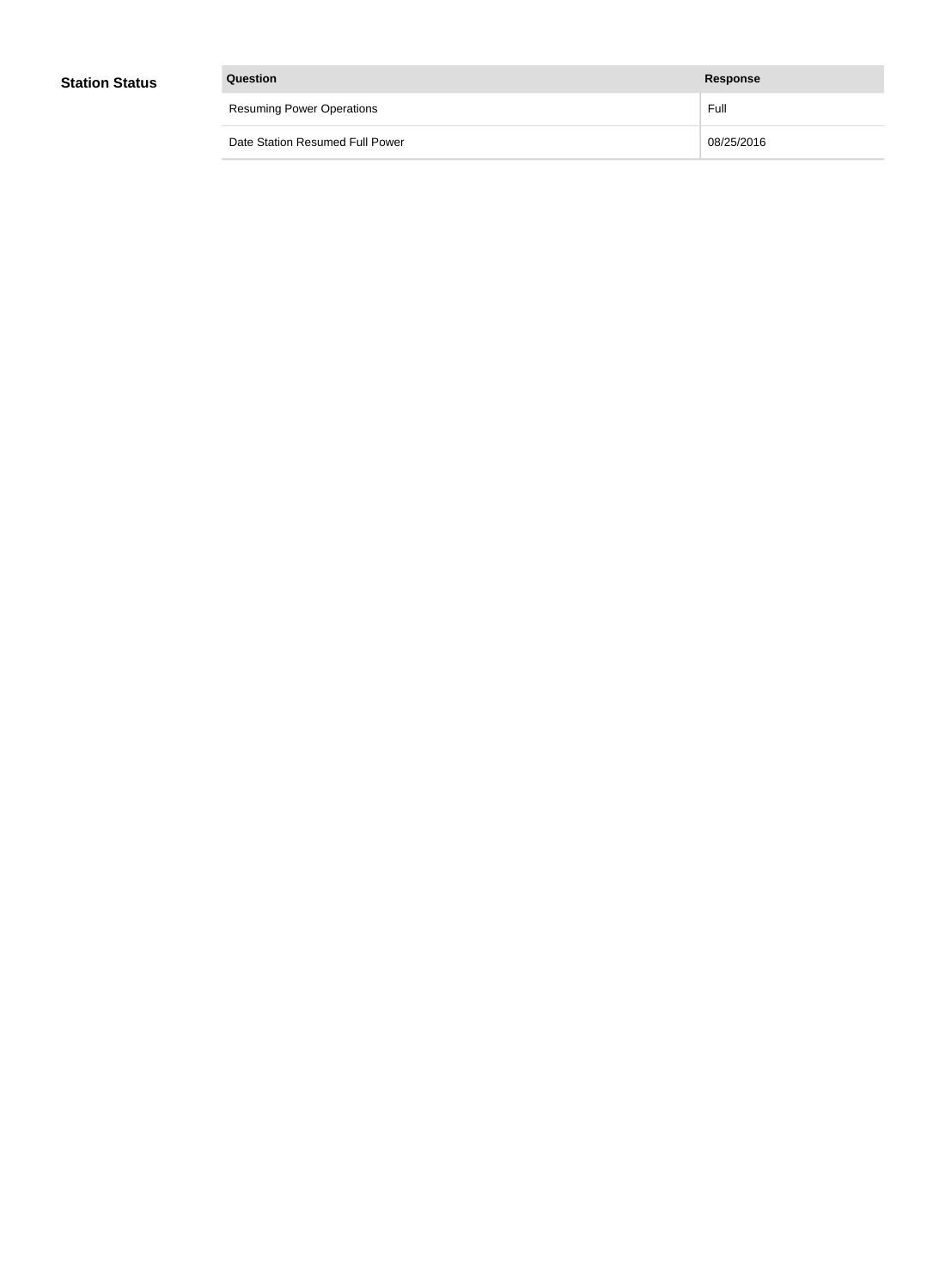| Question                         | Response   |
|----------------------------------|------------|
| <b>Resuming Power Operations</b> | Full       |
| Date Station Resumed Full Power  | 08/25/2016 |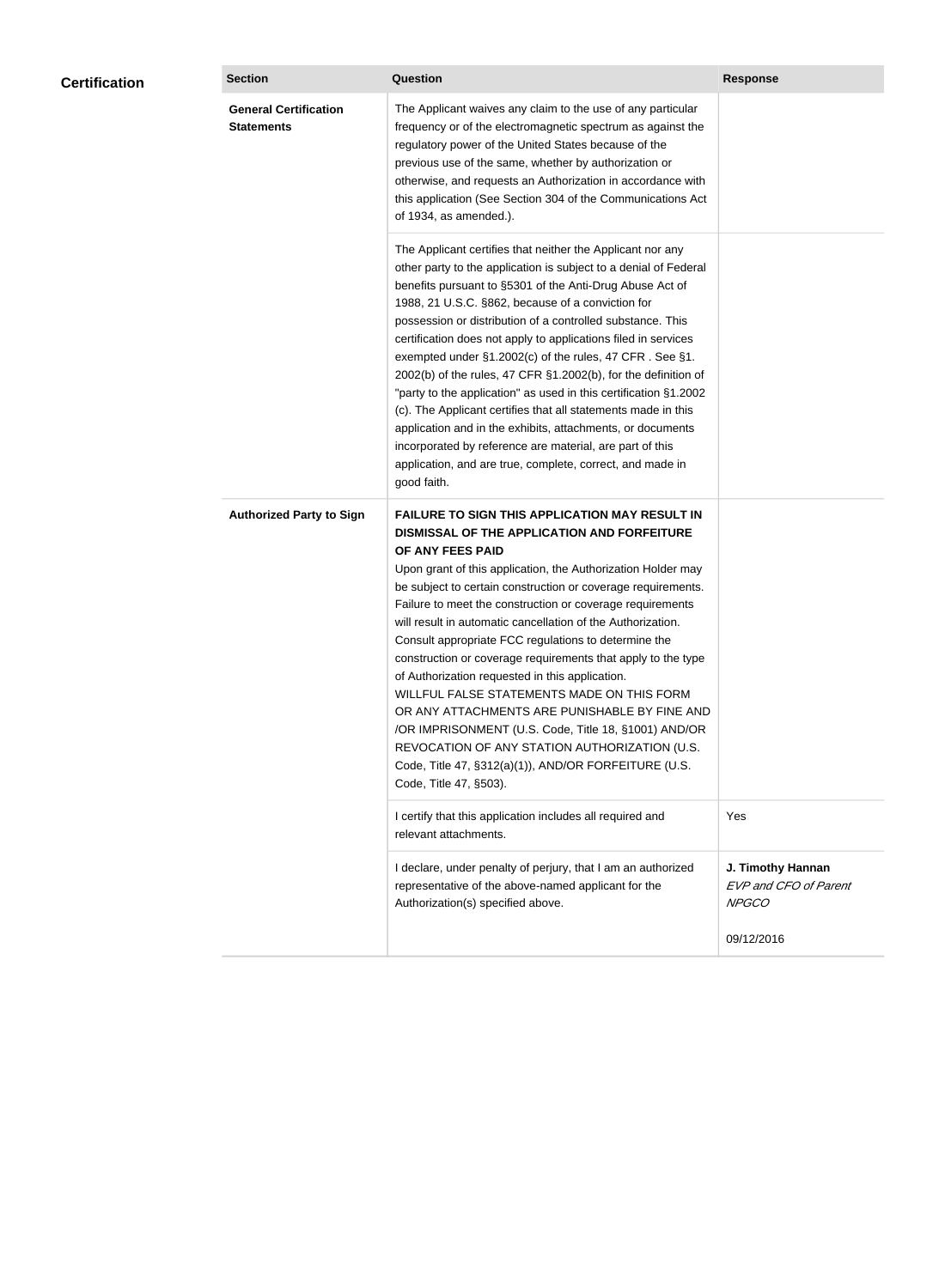| <b>Certification</b> | <b>Section</b>                                    | Question                                                                                                                                                                                                                                                                                                                                                                                                                                                                                                                                                                                                                                                                                                                                                                                                                                                  | <b>Response</b>                                                   |
|----------------------|---------------------------------------------------|-----------------------------------------------------------------------------------------------------------------------------------------------------------------------------------------------------------------------------------------------------------------------------------------------------------------------------------------------------------------------------------------------------------------------------------------------------------------------------------------------------------------------------------------------------------------------------------------------------------------------------------------------------------------------------------------------------------------------------------------------------------------------------------------------------------------------------------------------------------|-------------------------------------------------------------------|
|                      | <b>General Certification</b><br><b>Statements</b> | The Applicant waives any claim to the use of any particular<br>frequency or of the electromagnetic spectrum as against the<br>regulatory power of the United States because of the<br>previous use of the same, whether by authorization or<br>otherwise, and requests an Authorization in accordance with<br>this application (See Section 304 of the Communications Act<br>of 1934, as amended.).                                                                                                                                                                                                                                                                                                                                                                                                                                                       |                                                                   |
|                      |                                                   | The Applicant certifies that neither the Applicant nor any<br>other party to the application is subject to a denial of Federal<br>benefits pursuant to §5301 of the Anti-Drug Abuse Act of<br>1988, 21 U.S.C. §862, because of a conviction for<br>possession or distribution of a controlled substance. This<br>certification does not apply to applications filed in services<br>exempted under §1.2002(c) of the rules, 47 CFR. See §1.<br>2002(b) of the rules, 47 CFR §1.2002(b), for the definition of<br>"party to the application" as used in this certification §1.2002<br>(c). The Applicant certifies that all statements made in this<br>application and in the exhibits, attachments, or documents<br>incorporated by reference are material, are part of this<br>application, and are true, complete, correct, and made in<br>good faith.   |                                                                   |
|                      | <b>Authorized Party to Sign</b>                   | <b>FAILURE TO SIGN THIS APPLICATION MAY RESULT IN</b><br>DISMISSAL OF THE APPLICATION AND FORFEITURE<br>OF ANY FEES PAID<br>Upon grant of this application, the Authorization Holder may<br>be subject to certain construction or coverage requirements.<br>Failure to meet the construction or coverage requirements<br>will result in automatic cancellation of the Authorization.<br>Consult appropriate FCC regulations to determine the<br>construction or coverage requirements that apply to the type<br>of Authorization requested in this application.<br>WILLFUL FALSE STATEMENTS MADE ON THIS FORM<br>OR ANY ATTACHMENTS ARE PUNISHABLE BY FINE AND<br>/OR IMPRISONMENT (U.S. Code, Title 18, §1001) AND/OR<br>REVOCATION OF ANY STATION AUTHORIZATION (U.S.<br>Code, Title 47, §312(a)(1)), AND/OR FORFEITURE (U.S.<br>Code, Title 47, §503). |                                                                   |
|                      |                                                   | I certify that this application includes all required and<br>relevant attachments.                                                                                                                                                                                                                                                                                                                                                                                                                                                                                                                                                                                                                                                                                                                                                                        | Yes                                                               |
|                      |                                                   | I declare, under penalty of perjury, that I am an authorized<br>representative of the above-named applicant for the<br>Authorization(s) specified above.                                                                                                                                                                                                                                                                                                                                                                                                                                                                                                                                                                                                                                                                                                  | J. Timothy Hannan<br><b>EVP and CFO of Parent</b><br><b>NPGCO</b> |
|                      |                                                   |                                                                                                                                                                                                                                                                                                                                                                                                                                                                                                                                                                                                                                                                                                                                                                                                                                                           | 09/12/2016                                                        |